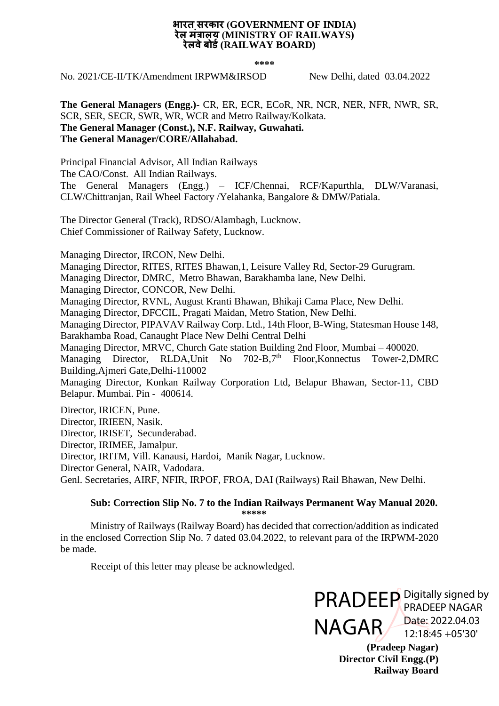#### **भारत सरकार (GOVERNMENT OF INDIA) रेल मंत्रालय (MINISTRY OF RAILWAYS) रेलवेबोर्ड(RAILWAY BOARD)**

**\*\*\*\***

No. 2021/CE-II/TK/Amendment IRPWM&IRSOD New Delhi, dated 03.04.2022

**The General Managers (Engg.)-** CR, ER, ECR, ECoR, NR, NCR, NER, NFR, NWR, SR, SCR, SER, SECR, SWR, WR, WCR and Metro Railway/Kolkata. **The General Manager (Const.), N.F. Railway, Guwahati. The General Manager/CORE/Allahabad.**

Principal Financial Advisor, All Indian Railways The CAO/Const. All Indian Railways. The General Managers (Engg.) – ICF/Chennai, RCF/Kapurthla, DLW/Varanasi, CLW/Chittranjan, Rail Wheel Factory /Yelahanka, Bangalore & DMW/Patiala.

The Director General (Track), RDSO/Alambagh, Lucknow. Chief Commissioner of Railway Safety, Lucknow.

Managing Director, IRCON, New Delhi.

Managing Director, RITES, RITES Bhawan,1, Leisure Valley Rd, Sector-29 Gurugram.

Managing Director, DMRC, Metro Bhawan, Barakhamba lane, New Delhi.

Managing Director, CONCOR, New Delhi.

Managing Director, RVNL, August Kranti Bhawan, Bhikaji Cama Place, New Delhi.

Managing Director, DFCCIL, Pragati Maidan, Metro Station, New Delhi.

Managing Director, PIPAVAV Railway Corp. Ltd., 14th Floor, B-Wing, Statesman House 148, Barakhamba Road, Canaught Place New Delhi Central Delhi

Managing Director, MRVC, Church Gate station Building 2nd Floor, Mumbai – 400020.

Managing Director, RLDA, Unit No. 702-B, 7<sup>th</sup> Floor, Konnectus Tower-2, DMRC Building,Ajmeri Gate,Delhi-110002

Managing Director, Konkan Railway Corporation Ltd, Belapur Bhawan, Sector-11, CBD Belapur. Mumbai. Pin - 400614.

Director, IRICEN, Pune.

Director, IRIEEN, Nasik.

Director, IRISET, Secunderabad.

Director, IRIMEE, Jamalpur.

Director, IRITM, Vill. Kanausi, Hardoi, Manik Nagar, Lucknow.

Director General, NAIR, Vadodara.

Genl. Secretaries, AIRF, NFIR, IRPOF, FROA, DAI (Railways) Rail Bhawan, New Delhi.

#### **Sub: Correction Slip No. 7 to the Indian Railways Permanent Way Manual 2020. \*\*\*\*\***

Ministry of Railways (Railway Board) has decided that correction/addition as indicated in the enclosed Correction Slip No. 7 dated 03.04.2022, to relevant para of the IRPWM-2020 be made.

Receipt of this letter may please be acknowledged.

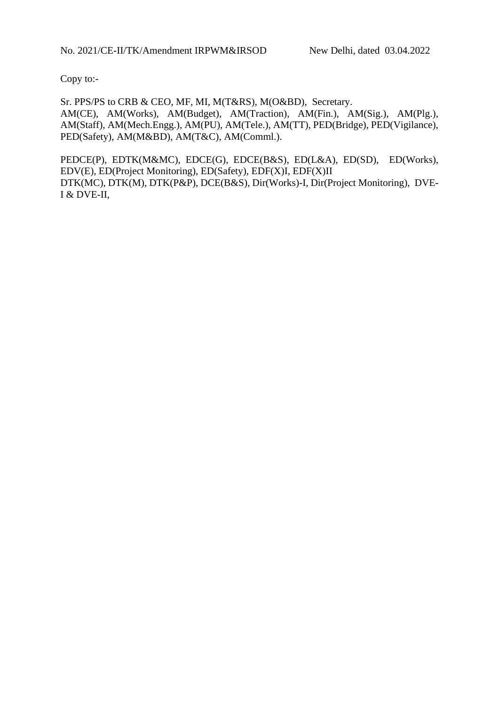Copy to:-

Sr. PPS/PS to CRB & CEO, MF, MI, M(T&RS), M(O&BD), Secretary. AM(CE), AM(Works), AM(Budget), AM(Traction), AM(Fin.), AM(Sig.), AM(Plg.), AM(Staff), AM(Mech.Engg.), AM(PU), AM(Tele.), AM(TT), PED(Bridge), PED(Vigilance), PED(Safety), AM(M&BD), AM(T&C), AM(Comml.).

PEDCE(P), EDTK(M&MC), EDCE(G), EDCE(B&S), ED(L&A), ED(SD), ED(Works), EDV(E), ED(Project Monitoring), ED(Safety), EDF(X)I, EDF(X)II DTK(MC), DTK(M), DTK(P&P), DCE(B&S), Dir(Works)-I, Dir(Project Monitoring), DVE-I & DVE-II,